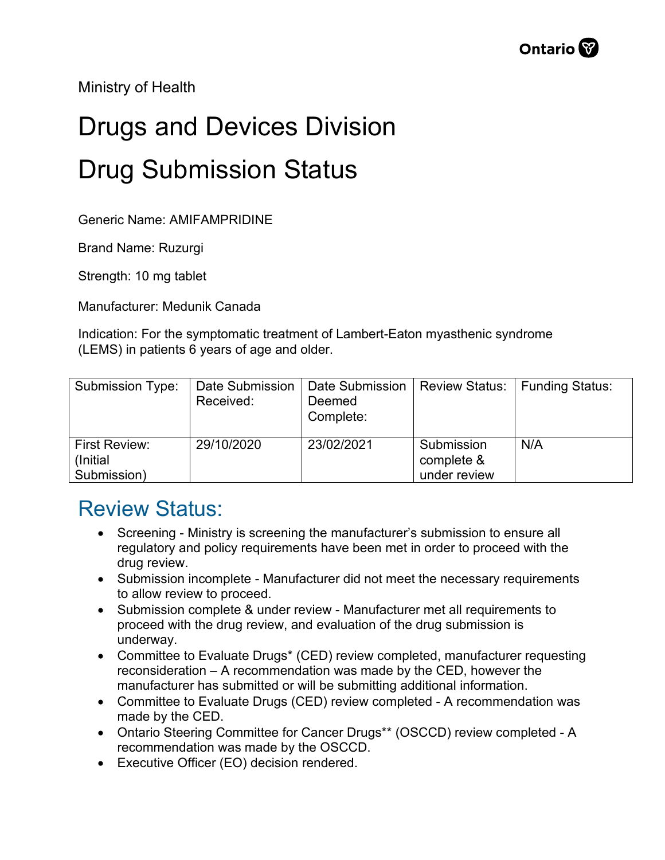Ministry of Health

## Drugs and Devices Division Drug Submission Status

Generic Name: AMIFAMPRIDINE

Brand Name: Ruzurgi

Strength: 10 mg tablet

Manufacturer: Medunik Canada

Indication: For the symptomatic treatment of Lambert-Eaton myasthenic syndrome (LEMS) in patients 6 years of age and older.

| Submission Type:                                 | Date Submission<br>Received: | Date Submission<br>Deemed<br>Complete: | <b>Review Status:</b>                    | Funding Status: |
|--------------------------------------------------|------------------------------|----------------------------------------|------------------------------------------|-----------------|
| <b>First Review:</b><br>(Initial)<br>Submission) | 29/10/2020                   | 23/02/2021                             | Submission<br>complete &<br>under review | N/A             |

## Review Status:

- Screening Ministry is screening the manufacturer's submission to ensure all regulatory and policy requirements have been met in order to proceed with the drug review.
- Submission incomplete Manufacturer did not meet the necessary requirements to allow review to proceed.
- Submission complete & under review Manufacturer met all requirements to proceed with the drug review, and evaluation of the drug submission is underway.
- Committee to Evaluate Drugs\* (CED) review completed, manufacturer requesting reconsideration – A recommendation was made by the CED, however the manufacturer has submitted or will be submitting additional information.
- Committee to Evaluate Drugs (CED) review completed A recommendation was made by the CED.
- Ontario Steering Committee for Cancer Drugs\*\* (OSCCD) review completed A recommendation was made by the OSCCD.
- Executive Officer (EO) decision rendered.